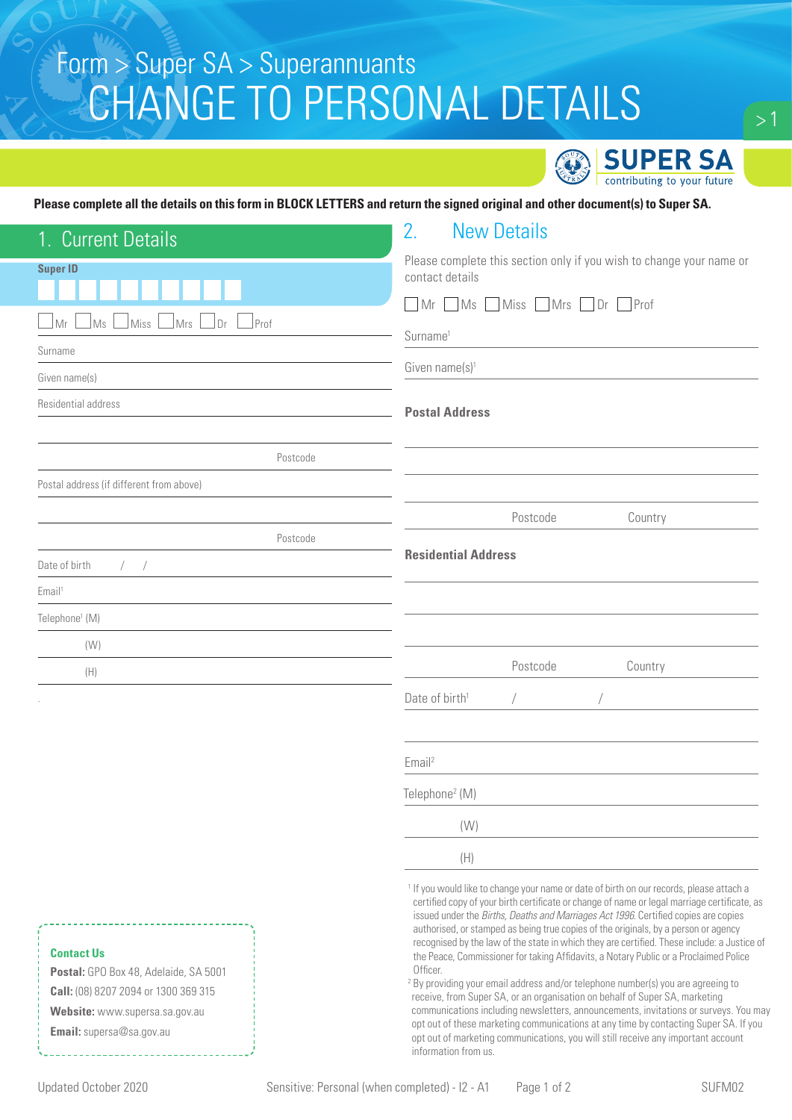# CHANGE TO PERSONAL DETAILS Form > Super SA > Superannuants



#### **Please complete all the details on this form in BLOCK LETTERS and return the signed original and other document(s) to Super SA.**

| 1. Current Details                                                                                                                                               | 2.<br><b>New Details</b>                                                                                                                                                                                                                                                                                                                                                                                                                                                                                                                                                                                                                                                                                                                                                                                                                                                                                                                                                                                                                                         |  |
|------------------------------------------------------------------------------------------------------------------------------------------------------------------|------------------------------------------------------------------------------------------------------------------------------------------------------------------------------------------------------------------------------------------------------------------------------------------------------------------------------------------------------------------------------------------------------------------------------------------------------------------------------------------------------------------------------------------------------------------------------------------------------------------------------------------------------------------------------------------------------------------------------------------------------------------------------------------------------------------------------------------------------------------------------------------------------------------------------------------------------------------------------------------------------------------------------------------------------------------|--|
| <b>Super ID</b>                                                                                                                                                  | Please complete this section only if you wish to change your name or<br>contact details                                                                                                                                                                                                                                                                                                                                                                                                                                                                                                                                                                                                                                                                                                                                                                                                                                                                                                                                                                          |  |
|                                                                                                                                                                  |                                                                                                                                                                                                                                                                                                                                                                                                                                                                                                                                                                                                                                                                                                                                                                                                                                                                                                                                                                                                                                                                  |  |
| $]$ Prof<br>⊥Ms<br>Miss<br>Mrs<br>Dr<br>Mr                                                                                                                       | Mr<br>MS<br>■Miss ■Mrs ■Dr ■Prof                                                                                                                                                                                                                                                                                                                                                                                                                                                                                                                                                                                                                                                                                                                                                                                                                                                                                                                                                                                                                                 |  |
| Surname                                                                                                                                                          | Surname <sup>1</sup>                                                                                                                                                                                                                                                                                                                                                                                                                                                                                                                                                                                                                                                                                                                                                                                                                                                                                                                                                                                                                                             |  |
| Given name(s)                                                                                                                                                    | Given name $(s)$ <sup>1</sup>                                                                                                                                                                                                                                                                                                                                                                                                                                                                                                                                                                                                                                                                                                                                                                                                                                                                                                                                                                                                                                    |  |
| Residential address                                                                                                                                              | <b>Postal Address</b>                                                                                                                                                                                                                                                                                                                                                                                                                                                                                                                                                                                                                                                                                                                                                                                                                                                                                                                                                                                                                                            |  |
|                                                                                                                                                                  |                                                                                                                                                                                                                                                                                                                                                                                                                                                                                                                                                                                                                                                                                                                                                                                                                                                                                                                                                                                                                                                                  |  |
| Postcode                                                                                                                                                         |                                                                                                                                                                                                                                                                                                                                                                                                                                                                                                                                                                                                                                                                                                                                                                                                                                                                                                                                                                                                                                                                  |  |
| Postal address (if different from above)                                                                                                                         |                                                                                                                                                                                                                                                                                                                                                                                                                                                                                                                                                                                                                                                                                                                                                                                                                                                                                                                                                                                                                                                                  |  |
|                                                                                                                                                                  | Postcode<br>Country                                                                                                                                                                                                                                                                                                                                                                                                                                                                                                                                                                                                                                                                                                                                                                                                                                                                                                                                                                                                                                              |  |
| Postcode                                                                                                                                                         |                                                                                                                                                                                                                                                                                                                                                                                                                                                                                                                                                                                                                                                                                                                                                                                                                                                                                                                                                                                                                                                                  |  |
| Date of birth<br>$\sqrt{2}$                                                                                                                                      | <b>Residential Address</b>                                                                                                                                                                                                                                                                                                                                                                                                                                                                                                                                                                                                                                                                                                                                                                                                                                                                                                                                                                                                                                       |  |
| Email <sup>1</sup>                                                                                                                                               |                                                                                                                                                                                                                                                                                                                                                                                                                                                                                                                                                                                                                                                                                                                                                                                                                                                                                                                                                                                                                                                                  |  |
| Telephone <sup>1</sup> (M)                                                                                                                                       |                                                                                                                                                                                                                                                                                                                                                                                                                                                                                                                                                                                                                                                                                                                                                                                                                                                                                                                                                                                                                                                                  |  |
| (W)                                                                                                                                                              |                                                                                                                                                                                                                                                                                                                                                                                                                                                                                                                                                                                                                                                                                                                                                                                                                                                                                                                                                                                                                                                                  |  |
| (H)                                                                                                                                                              | Postcode<br>Country                                                                                                                                                                                                                                                                                                                                                                                                                                                                                                                                                                                                                                                                                                                                                                                                                                                                                                                                                                                                                                              |  |
|                                                                                                                                                                  | Date of birth <sup>1</sup>                                                                                                                                                                                                                                                                                                                                                                                                                                                                                                                                                                                                                                                                                                                                                                                                                                                                                                                                                                                                                                       |  |
|                                                                                                                                                                  |                                                                                                                                                                                                                                                                                                                                                                                                                                                                                                                                                                                                                                                                                                                                                                                                                                                                                                                                                                                                                                                                  |  |
|                                                                                                                                                                  | Email <sup>2</sup>                                                                                                                                                                                                                                                                                                                                                                                                                                                                                                                                                                                                                                                                                                                                                                                                                                                                                                                                                                                                                                               |  |
|                                                                                                                                                                  | Telephone <sup>2</sup> (M)                                                                                                                                                                                                                                                                                                                                                                                                                                                                                                                                                                                                                                                                                                                                                                                                                                                                                                                                                                                                                                       |  |
|                                                                                                                                                                  | (W)                                                                                                                                                                                                                                                                                                                                                                                                                                                                                                                                                                                                                                                                                                                                                                                                                                                                                                                                                                                                                                                              |  |
|                                                                                                                                                                  | (H)                                                                                                                                                                                                                                                                                                                                                                                                                                                                                                                                                                                                                                                                                                                                                                                                                                                                                                                                                                                                                                                              |  |
| <b>Contact Us</b><br>Postal: GPO Box 48, Adelaide, SA 5001<br>Call: (08) 8207 2094 or 1300 369 315<br>Website: www.supersa.sa.gov.au<br>Email: supersa@sa.gov.au | <sup>1</sup> If you would like to change your name or date of birth on our records, please attach a<br>certified copy of your birth certificate or change of name or legal marriage certificate, as<br>issued under the Births, Deaths and Marriages Act 1996. Certified copies are copies<br>authorised, or stamped as being true copies of the originals, by a person or agency<br>recognised by the law of the state in which they are certified. These include: a Justice of<br>the Peace, Commissioner for taking Affidavits, a Notary Public or a Proclaimed Police<br>Officer.<br><sup>2</sup> By providing your email address and/or telephone number(s) you are agreeing to<br>receive, from Super SA, or an organisation on behalf of Super SA, marketing<br>communications including newsletters, announcements, invitations or surveys. You may<br>opt out of these marketing communications at any time by contacting Super SA. If you<br>opt out of marketing communications, you will still receive any important account<br>information from us. |  |